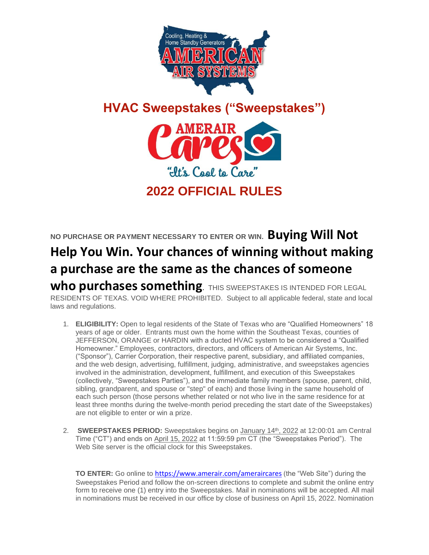

## **HVAC Sweepstakes ("Sweepstakes")**



## **NO PURCHASE OR PAYMENT NECESSARY TO ENTER OR WIN. Buying Will Not Help You Win. Your chances of winning without making a purchase are the same as the chances of someone**  Who purchases something. THIS SWEEPSTAKES IS INTENDED FOR LEGAL

RESIDENTS OF TEXAS. VOID WHERE PROHIBITED.Subject to all applicable federal, state and local laws and regulations.

- 1. **ELIGIBILITY:** Open to legal residents of the State of Texas who are "Qualified Homeowners" 18 years of age or older. Entrants must own the home within the Southeast Texas, counties of JEFFERSON, ORANGE or HARDIN with a ducted HVAC system to be considered a "Qualified Homeowner." Employees, contractors, directors, and officers of American Air Systems, Inc. ("Sponsor"), Carrier Corporation, their respective parent, subsidiary, and affiliated companies, and the web design, advertising, fulfillment, judging, administrative, and sweepstakes agencies involved in the administration, development, fulfillment, and execution of this Sweepstakes (collectively, "Sweepstakes Parties"), and the immediate family members (spouse, parent, child, sibling, grandparent, and spouse or "step" of each) and those living in the same household of each such person (those persons whether related or not who live in the same residence for at least three months during the twelve-month period preceding the start date of the Sweepstakes) are not eligible to enter or win a prize.
- 2. **SWEEPSTAKES PERIOD:** Sweepstakes begins on January 14<sup>th</sup>, 2022 at 12:00:01 am Central Time ("CT") and ends on April 15, 2022 at 11:59:59 pm CT (the "Sweepstakes Period"). The Web Site server is the official clock for this Sweepstakes.

**TO ENTER:** Go online to <https://www.amerair.com/ameraircares> (the "Web Site") during the Sweepstakes Period and follow the on-screen directions to complete and submit the online entry form to receive one (1) entry into the Sweepstakes. Mail in nominations will be accepted. All mail in nominations must be received in our office by close of business on April 15, 2022. Nomination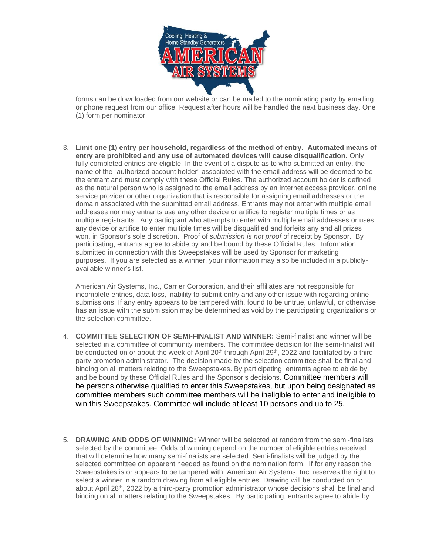

forms can be downloaded from our website or can be mailed to the nominating party by emailing or phone request from our office. Request after hours will be handled the next business day. One (1) form per nominator.

3. **Limit one (1) entry per household, regardless of the method of entry. Automated means of entry are prohibited and any use of automated devices will cause disqualification.** Only fully completed entries are eligible. In the event of a dispute as to who submitted an entry, the name of the "authorized account holder" associated with the email address will be deemed to be the entrant and must comply with these Official Rules. The authorized account holder is defined as the natural person who is assigned to the email address by an Internet access provider, online service provider or other organization that is responsible for assigning email addresses or the domain associated with the submitted email address. Entrants may not enter with multiple email addresses nor may entrants use any other device or artifice to register multiple times or as multiple registrants. Any participant who attempts to enter with multiple email addresses or uses any device or artifice to enter multiple times will be disqualified and forfeits any and all prizes won, in Sponsor's sole discretion. Proof of *submission is not proof* of receipt by Sponsor. By participating, entrants agree to abide by and be bound by these Official Rules. Information submitted in connection with this Sweepstakes will be used by Sponsor for marketing purposes. If you are selected as a winner, your information may also be included in a publiclyavailable winner's list.

American Air Systems, Inc., Carrier Corporation, and their affiliates are not responsible for incomplete entries, data loss, inability to submit entry and any other issue with regarding online submissions. If any entry appears to be tampered with, found to be untrue, unlawful, or otherwise has an issue with the submission may be determined as void by the participating organizations or the selection committee.

- 4. **COMMITTEE SELECTION OF SEMI-FINALIST AND WINNER:** Semi-finalist and winner will be selected in a committee of community members. The committee decision for the semi-finalist will be conducted on or about the week of April 20<sup>th</sup> through April 29<sup>th</sup>, 2022 and facilitated by a thirdparty promotion administrator. The decision made by the selection committee shall be final and binding on all matters relating to the Sweepstakes. By participating, entrants agree to abide by and be bound by these Official Rules and the Sponsor's decisions. Committee members will be persons otherwise qualified to enter this Sweepstakes, but upon being designated as committee members such committee members will be ineligible to enter and ineligible to win this Sweepstakes. Committee will include at least 10 persons and up to 25.
- 5. **DRAWING AND ODDS OF WINNING:** Winner will be selected at random from the semi-finalists selected by the committee. Odds of winning depend on the number of eligible entries received that will determine how many semi-finalists are selected. Semi-finalists will be judged by the selected committee on apparent needed as found on the nomination form. If for any reason the Sweepstakes is or appears to be tampered with, American Air Systems, Inc. reserves the right to select a winner in a random drawing from all eligible entries. Drawing will be conducted on or about April 28<sup>th</sup>, 2022 by a third-party promotion administrator whose decisions shall be final and binding on all matters relating to the Sweepstakes. By participating, entrants agree to abide by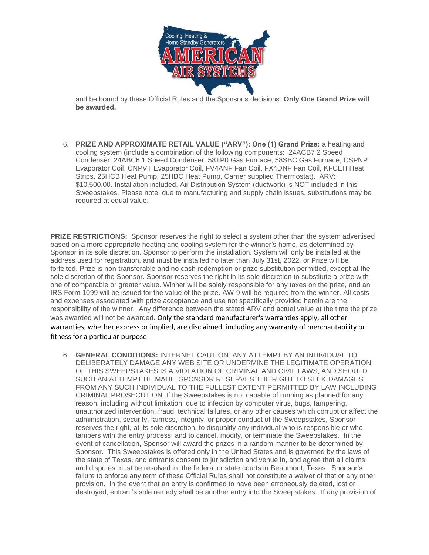

and be bound by these Official Rules and the Sponsor's decisions. **Only One Grand Prize will be awarded.**

6. **PRIZE AND APPROXIMATE RETAIL VALUE ("ARV"): One (1) Grand Prize:** a heating and cooling system (include a combination of the following components: 24ACB7 2 Speed Condenser, 24ABC6 1 Speed Condenser, 58TP0 Gas Furnace, 58SBC Gas Furnace, CSPNP Evaporator Coil, CNPVT Evaporator Coil, FV4ANF Fan Coil, FX4DNF Fan Coil, KFCEH Heat Strips, 25HCB Heat Pump, 25HBC Heat Pump, Carrier supplied Thermostat). ARV: \$10,500.00. Installation included. Air Distribution System (ductwork) is NOT included in this Sweepstakes. Please note: due to manufacturing and supply chain issues, substitutions may be required at equal value.

**PRIZE RESTRICTIONS:** Sponsor reserves the right to select a system other than the system advertised based on a more appropriate heating and cooling system for the winner's home, as determined by Sponsor in its sole discretion. Sponsor to perform the installation. System will only be installed at the address used for registration, and must be installed no later than July 31st, 2022, or Prize will be forfeited. Prize is non-transferable and no cash redemption or prize substitution permitted, except at the sole discretion of the Sponsor. Sponsor reserves the right in its sole discretion to substitute a prize with one of comparable or greater value. Winner will be solely responsible for any taxes on the prize, and an IRS Form 1099 will be issued for the value of the prize. AW-9 will be required from the winner. All costs and expenses associated with prize acceptance and use not specifically provided herein are the responsibility of the winner. Any difference between the stated ARV and actual value at the time the prize was awarded will not be awarded. Only the standard manufacturer's warranties apply; all other warranties, whether express or implied, are disclaimed, including any warranty of merchantability or fitness for a particular purpose

6. **GENERAL CONDITIONS:** INTERNET CAUTION: ANY ATTEMPT BY AN INDIVIDUAL TO DELIBERATELY DAMAGE ANY WEB SITE OR UNDERMINE THE LEGITIMATE OPERATION OF THIS SWEEPSTAKES IS A VIOLATION OF CRIMINAL AND CIVIL LAWS, AND SHOULD SUCH AN ATTEMPT BE MADE, SPONSOR RESERVES THE RIGHT TO SEEK DAMAGES FROM ANY SUCH INDIVIDUAL TO THE FULLEST EXTENT PERMITTED BY LAW INCLUDING CRIMINAL PROSECUTION. If the Sweepstakes is not capable of running as planned for any reason, including without limitation, due to infection by computer virus, bugs, tampering, unauthorized intervention, fraud, technical failures, or any other causes which corrupt or affect the administration, security, fairness, integrity, or proper conduct of the Sweepstakes, Sponsor reserves the right, at its sole discretion, to disqualify any individual who is responsible or who tampers with the entry process, and to cancel, modify, or terminate the Sweepstakes. In the event of cancellation, Sponsor will award the prizes in a random manner to be determined by Sponsor. This Sweepstakes is offered only in the United States and is governed by the laws of the state of Texas, and entrants consent to jurisdiction and venue in, and agree that all claims and disputes must be resolved in, the federal or state courts in Beaumont, Texas. Sponsor's failure to enforce any term of these Official Rules shall not constitute a waiver of that or any other provision. In the event that an entry is confirmed to have been erroneously deleted, lost or destroyed, entrant's sole remedy shall be another entry into the Sweepstakes. If any provision of